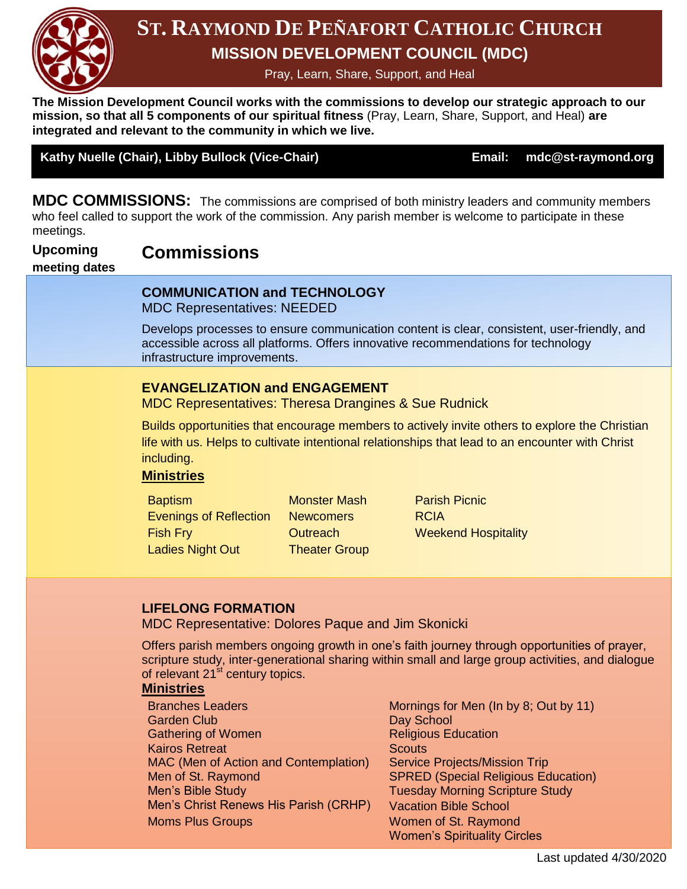

## **MISSION DEVELOPMENT COUNCIL (MDC) ST. RAYMOND DE PEÑAFORT CATHOLIC CHURCH**

Pray, Learn, Share, Support, and Heal

**The Mission Development Council works with the commissions to develop our strategic approach to our mission, so that all 5 components of our spiritual fitness** (Pray, Learn, Share, Support, and Heal) **are integrated and relevant to the community in which we live.**

#### Kathy Nuelle (Chair), Libby Bullock (Vice-Chair) **Email: mdc@st-raymond.org**

**MDC COMMISSIONS:** The commissions are comprised of both ministry leaders and community members who feel called to support the work of the commission. Any parish member is welcome to participate in these meetings.

#### **Upcoming Commissions**

#### **meeting dates**

### **COMMUNICATION and TECHNOLOGY**

MDC Representatives: NEEDED

Develops processes to ensure communication content is clear, consistent, user-friendly, and accessible across all platforms. Offers innovative recommendations for technology infrastructure improvements.

### **EVANGELIZATION and ENGAGEMENT**

MDC Representatives: Theresa Drangines & Sue Rudnick

Builds opportunities that encourage members to actively invite others to explore the Christian life with us. Helps to cultivate intentional relationships that lead to an encounter with Christ including.

#### **Ministries**

**Baptism Monster Mash Parish Picnic** Evenings of Reflection Newcomers RCIA Fish Fry Ladies Night Out

**Outreach** Theater Group Weekend Hospitality

### **LIFELONG FORMATION**

MDC Representative: Dolores Paque and Jim Skonicki

Offers parish members ongoing growth in one's faith journey through opportunities of prayer, scripture study, inter-generational sharing within small and large group activities, and dialogue of relevant 21<sup>st</sup> century topics.

#### **Ministries**

- Branches Leaders Mornings for Men (In by 8; Out by 11) Garden Club **Day School** Gathering of Women **Religious Education** Kairos Retreat **Scouts** Scouts MAC (Men of Action and Contemplation) Service Projects/Mission Trip Men of St. Raymond SPRED (Special Religious Education) Men's Bible Study Tuesday Morning Scripture Study Men's Christ Renews His Parish (CRHP) Vacation Bible School Moms Plus Groups Women of St. Raymond
	- Women's Spirituality Circles